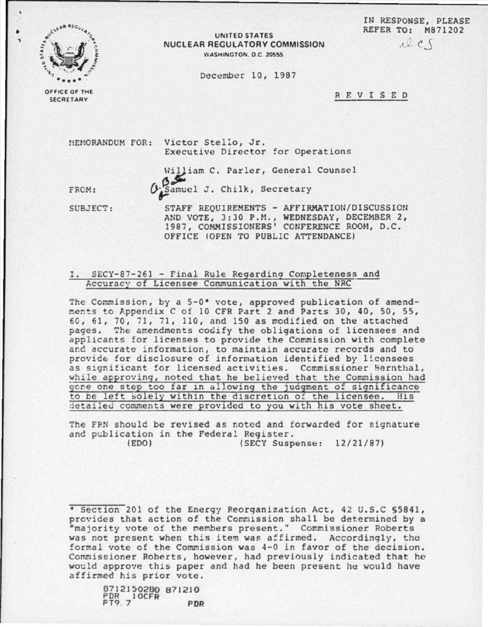IN RESPONSE, PLEASE REFER TO: M871202  $12c$ 



UNITED STATES NUCLEAR REGULATORY COMMISSION WASHINGTON, D.C. 20555

December 10, 1987

REVISED

OFFICE OF THE **SECRETARY** 

> MEMORANDUM FOR: Victor Stello, Jr. Executive Director for Operations

> > William C. Parler, General Counsel Both Samuel J. Chilk, Secretary

OFFICE (OPEN TO PUBLIC ATTENDANCE)

FROM: SUBJECT:

STAFF REQUIREMENTS - AFFIRMATION/DISCUSSION AND VOTE, 3:30 P.M., WEDNESDAY, DECEMBER 2, 1987, COMMISSIONERS' CONFERENCE ROOM, D.C.

## I. SECY-87-261 - Final Rule Regarding Completeness and Accuracy of Licensee Communication with the NRC

The Commission, by a 5-0\* vote, approved publication of amendments to Appendix C of 10 CFR Part 2 and Parts 30, 40, 50, 55, 60, 61, 70, 71, 71, 110, and 150 as modified on the attached pages. The amendments codify the obligations of licensees and applicants for licenses to provide the Commission with complete and accurate information, to maintain accurate records and to provide for disclosure of information identified by licensees as significant for licensed activities. Commissioner Bernthal, while approving, noted that he believed that the Commission had gone one step too far in allowing the judgment of significance to be left solely within the discretion of the licensee. His detailed comments were provided to you with his vote sheet.

The FRN should be revised as noted and forwarded for signature and publication in the Federal Register. (EDO) (SECY Suspense: 12/21/87)

\* Section 201 of the Energy Reorganization Act, 42 U.S.C \$5841, provides that action of the Commission shall be determined by a "majority vote of the members present." Commissioner Roberts was not present when this item was affirmed. Accordingly, the formal vote of the Commission was 4-0 in favor of the decision. Commissioner Roberts, however, had previously indicated that he would approve this paper and had he been present he would have affirmed his prior vote.

8712150280 871210 PDR 10CFR PDR